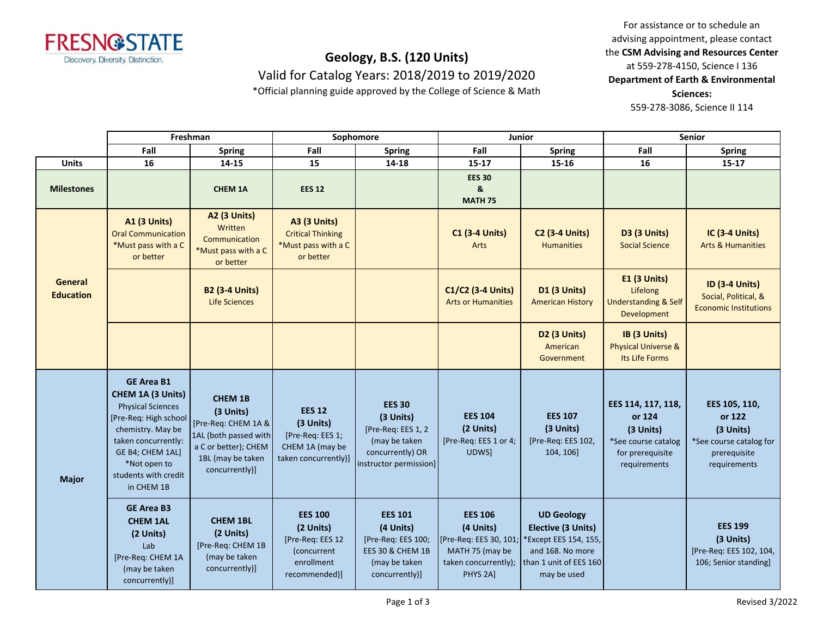

## **Geology, B.S. (120 Units)** Valid for Catalog Years: 2018/2019 to 2019/2020

\*Official planning guide approved by the College of Science & Math

For assistance or to schedule an advising appointment, please contact the **CSM Advising and Resources Center** at 559-278-4150, Science I 136 **Department of Earth & Environmental Sciences:**  559-278-3086, Science II 114

|                             | Freshman                                                                                                                                                                                                           |                                                                                                                                            | Sophomore                                                                                     |                                                                                                                 | Junior                                                                                                                  |                                                                                                                                     | <b>Senior</b>                                                                                        |                                                                                                 |
|-----------------------------|--------------------------------------------------------------------------------------------------------------------------------------------------------------------------------------------------------------------|--------------------------------------------------------------------------------------------------------------------------------------------|-----------------------------------------------------------------------------------------------|-----------------------------------------------------------------------------------------------------------------|-------------------------------------------------------------------------------------------------------------------------|-------------------------------------------------------------------------------------------------------------------------------------|------------------------------------------------------------------------------------------------------|-------------------------------------------------------------------------------------------------|
|                             | Fall                                                                                                                                                                                                               | <b>Spring</b>                                                                                                                              | Fall                                                                                          | <b>Spring</b>                                                                                                   | Fall                                                                                                                    | <b>Spring</b>                                                                                                                       | Fall                                                                                                 | <b>Spring</b>                                                                                   |
| <b>Units</b>                | 16                                                                                                                                                                                                                 | 14-15                                                                                                                                      | 15                                                                                            | 14-18                                                                                                           | $15 - 17$                                                                                                               | 15-16                                                                                                                               | 16                                                                                                   | $15 - 17$                                                                                       |
| <b>Milestones</b>           |                                                                                                                                                                                                                    | <b>CHEM 1A</b>                                                                                                                             | <b>EES 12</b>                                                                                 |                                                                                                                 | <b>EES 30</b><br>&<br><b>MATH 75</b>                                                                                    |                                                                                                                                     |                                                                                                      |                                                                                                 |
|                             | <b>A1 (3 Units)</b><br><b>Oral Communication</b><br>*Must pass with a C<br>or better                                                                                                                               | A2 (3 Units)<br>Written<br>Communication<br>*Must pass with a C<br>or better                                                               | <b>A3 (3 Units)</b><br><b>Critical Thinking</b><br>*Must pass with a C<br>or better           |                                                                                                                 | <b>C1 (3-4 Units)</b><br>Arts                                                                                           | <b>C2 (3-4 Units)</b><br><b>Humanities</b>                                                                                          | D3 (3 Units)<br><b>Social Science</b>                                                                | <b>IC (3-4 Units)</b><br><b>Arts &amp; Humanities</b>                                           |
| General<br><b>Education</b> |                                                                                                                                                                                                                    | <b>B2 (3-4 Units)</b><br>Life Sciences                                                                                                     |                                                                                               |                                                                                                                 | C1/C2 (3-4 Units)<br><b>Arts or Humanities</b>                                                                          | <b>D1 (3 Units)</b><br><b>American History</b>                                                                                      | <b>E1 (3 Units)</b><br>Lifelong<br><b>Understanding &amp; Self</b><br>Development                    | <b>ID (3-4 Units)</b><br>Social, Political, &<br><b>Economic Institutions</b>                   |
|                             |                                                                                                                                                                                                                    |                                                                                                                                            |                                                                                               |                                                                                                                 |                                                                                                                         | D2 (3 Units)<br>American<br>Government                                                                                              | IB (3 Units)<br><b>Physical Universe &amp;</b><br>Its Life Forms                                     |                                                                                                 |
| <b>Major</b>                | <b>GE Area B1</b><br>CHEM 1A (3 Units)<br><b>Physical Sciences</b><br>[Pre-Req: High school]<br>chemistry. May be<br>taken concurrently:<br>GE B4; CHEM 1AL]<br>*Not open to<br>students with credit<br>in CHEM 1B | <b>CHEM 1B</b><br>(3 Units)<br>[Pre-Req: CHEM 1A &<br>1AL (both passed with<br>a C or better); CHEM<br>1BL (may be taken<br>concurrently)] | <b>EES 12</b><br>(3 Units)<br>[Pre-Req: EES 1;<br>CHEM 1A (may be<br>taken concurrently)]     | <b>EES 30</b><br>(3 Units)<br>[Pre-Req: EES 1, 2<br>(may be taken<br>concurrently) OR<br>instructor permission] | <b>EES 104</b><br>(2 Units)<br>[Pre-Req: EES 1 or 4;<br>UDWS]                                                           | <b>EES 107</b><br>(3 Units)<br>[Pre-Req: EES 102,<br>104, 106]                                                                      | EES 114, 117, 118,<br>or 124<br>(3 Units)<br>*See course catalog<br>for prerequisite<br>requirements | EES 105, 110,<br>or 122<br>(3 Units)<br>*See course catalog for<br>prerequisite<br>requirements |
|                             | <b>GE Area B3</b><br><b>CHEM 1AL</b><br>(2 Units)<br>Lab<br>[Pre-Req: CHEM 1A<br>(may be taken<br>concurrently)]                                                                                                   | <b>CHEM 1BL</b><br>(2 Units)<br>[Pre-Req: CHEM 1B<br>(may be taken<br>concurrently)]                                                       | <b>EES 100</b><br>(2 Units)<br>[Pre-Req: EES 12<br>(concurrent<br>enrollment<br>recommended)] | <b>EES 101</b><br>(4 Units)<br>[Pre-Req: EES 100;<br>EES 30 & CHEM 1B<br>(may be taken<br>concurrently)]        | <b>EES 106</b><br>(4 Units)<br>[Pre-Req: EES 30, 101;<br>MATH 75 (may be<br>taken concurrently);<br>PHYS <sub>2A1</sub> | <b>UD Geology</b><br><b>Elective (3 Units)</b><br>Except EES 154, 155,<br>and 168. No more<br>than 1 unit of EES 160<br>may be used |                                                                                                      | <b>EES 199</b><br>(3 Units)<br>[Pre-Req: EES 102, 104,<br>106; Senior standing]                 |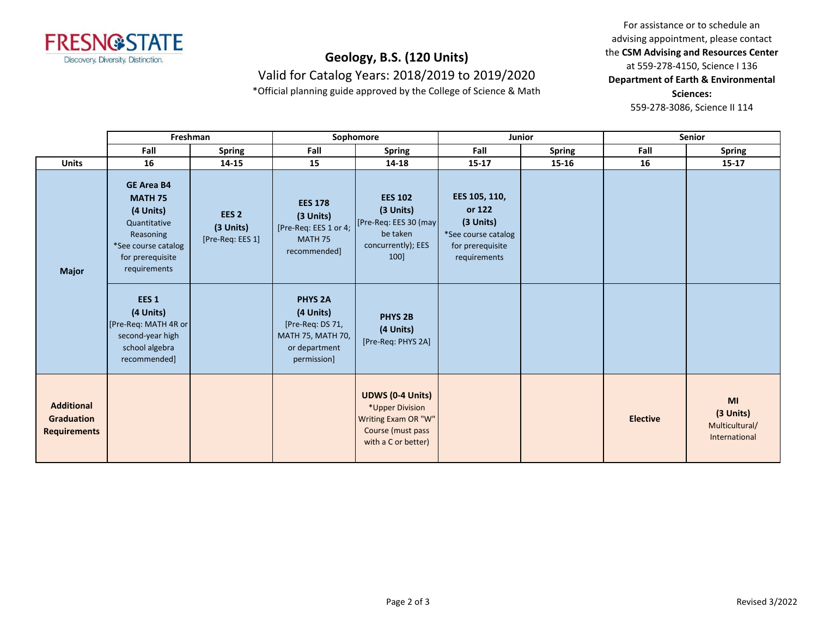

## **Geology, B.S. (120 Units)** Valid for Catalog Years: 2018/2019 to 2019/2020

\*Official planning guide approved by the College of Science & Math

For assistance or to schedule an advising appointment, please contact the **CSM Advising and Resources Center** at 559-278-4150, Science I 136 **Department of Earth & Environmental Sciences:**  559-278-3086, Science II 114

|                                                               |                                                                                                                                          | Freshman                                          |                                                                                                      | Sophomore                                                                                                     |                                                                                                 | <b>Junior</b> |                 | Senior                                                    |  |
|---------------------------------------------------------------|------------------------------------------------------------------------------------------------------------------------------------------|---------------------------------------------------|------------------------------------------------------------------------------------------------------|---------------------------------------------------------------------------------------------------------------|-------------------------------------------------------------------------------------------------|---------------|-----------------|-----------------------------------------------------------|--|
|                                                               | Fall                                                                                                                                     | <b>Spring</b>                                     | Fall                                                                                                 | <b>Spring</b>                                                                                                 | Fall                                                                                            | <b>Spring</b> | Fall            | <b>Spring</b>                                             |  |
| <b>Units</b>                                                  | 16                                                                                                                                       | 14-15                                             | 15                                                                                                   | 14-18                                                                                                         | $15 - 17$                                                                                       | 15-16         | 16              | $15 - 17$                                                 |  |
| <b>Major</b>                                                  | <b>GE Area B4</b><br><b>MATH 75</b><br>(4 Units)<br>Quantitative<br>Reasoning<br>*See course catalog<br>for prerequisite<br>requirements | EES <sub>2</sub><br>(3 Units)<br>[Pre-Req: EES 1] | <b>EES 178</b><br>(3 Units)<br>[Pre-Req: EES 1 or 4;<br>MATH <sub>75</sub><br>recommended]           | <b>EES 102</b><br>(3 Units)<br>[Pre-Req: EES 30 (may]<br>be taken<br>concurrently); EES<br>100]               | EES 105, 110,<br>or 122<br>(3 Units)<br>*See course catalog<br>for prerequisite<br>requirements |               |                 |                                                           |  |
|                                                               | EES <sub>1</sub><br>(4 Units)<br>[Pre-Req: MATH 4R or<br>second-year high<br>school algebra<br>recommended]                              |                                                   | <b>PHYS 2A</b><br>(4 Units)<br>[Pre-Req: DS 71,<br>MATH 75, MATH 70,<br>or department<br>permission] | PHYS <sub>2B</sub><br>(4 Units)<br>[Pre-Req: PHYS 2A]                                                         |                                                                                                 |               |                 |                                                           |  |
| <b>Additional</b><br><b>Graduation</b><br><b>Requirements</b> |                                                                                                                                          |                                                   |                                                                                                      | <b>UDWS (0-4 Units)</b><br>*Upper Division<br>Writing Exam OR "W"<br>Course (must pass<br>with a C or better) |                                                                                                 |               | <b>Elective</b> | <b>MI</b><br>(3 Units)<br>Multicultural/<br>International |  |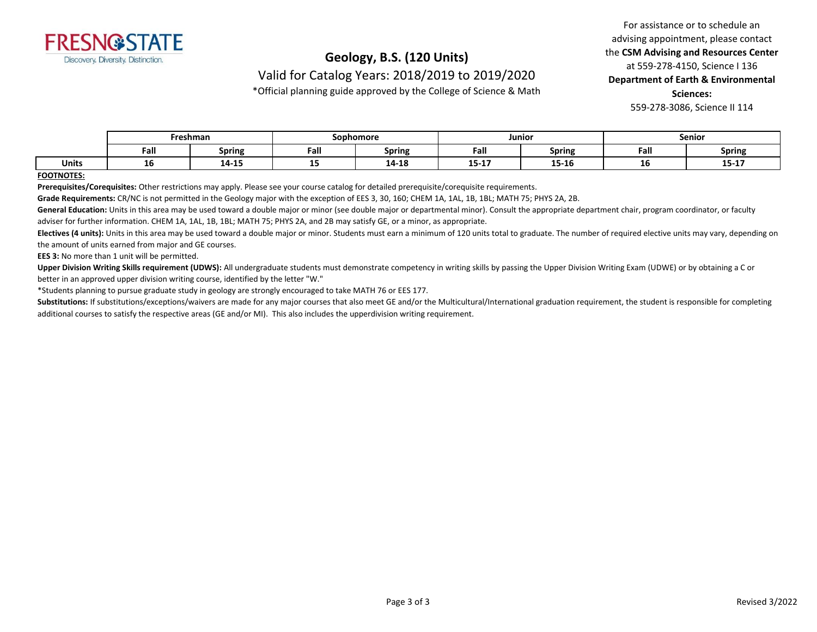

## **Geology, B.S. (120 Units)**

Valid for Catalog Years: 2018/2019 to 2019/2020

\*Official planning guide approved by the College of Science & Math

For assistance or to schedule an advising appointment, please contact the **CSM Advising and Resources Center** at 559-278-4150, Science I 136 **Department of Earth & Environmental Sciences:**  559-278-3086, Science II 114

|              | Freshman |               | Sophomore |               | Junior            |        | Senior     |                       |
|--------------|----------|---------------|-----------|---------------|-------------------|--------|------------|-----------------------|
|              | Fall     | <b>Spring</b> | Fall      | <b>Spring</b> | Fall              | Spring | Eal<br>ган | <b>Spring</b>         |
| <b>Units</b> | TO       | 14-15         | --        | 14-18         | $- - -$<br>13-T V | 15-16  | ∸∾         | <b>15 17</b><br>13-TV |

#### **FOOTNOTES:**

**Prerequisites/Corequisites:** Other restrictions may apply. Please see your course catalog for detailed prerequisite/corequisite requirements.

**Grade Requirements:** CR/NC is not permitted in the Geology major with the exception of EES 3, 30, 160; CHEM 1A, 1AL, 1B, 1BL; MATH 75; PHYS 2A, 2B.

General Education: Units in this area may be used toward a double major or minor (see double major or departmental minor). Consult the appropriate department chair, program coordinator, or faculty adviser for further information. CHEM 1A, 1AL, 1B, 1BL; MATH 75; PHYS 2A, and 2B may satisfy GE, or a minor, as appropriate.

Electives (4 units): Units in this area may be used toward a double major or minor. Students must earn a minimum of 120 units total to graduate. The number of required elective units may vary, depending on the amount of units earned from major and GE courses.

**EES 3:** No more than 1 unit will be permitted.

Upper Division Writing Skills requirement (UDWS): All undergraduate students must demonstrate competency in writing skills by passing the Upper Division Writing Exam (UDWE) or by obtaining a C or better in an approved upper division writing course, identified by the letter "W."

\*Students planning to pursue graduate study in geology are strongly encouraged to take MATH 76 or EES 177.

Substitutions: If substitutions/exceptions/waivers are made for any major courses that also meet GE and/or the Multicultural/International graduation requirement, the student is responsible for completing additional courses to satisfy the respective areas (GE and/or MI). This also includes the upperdivision writing requirement.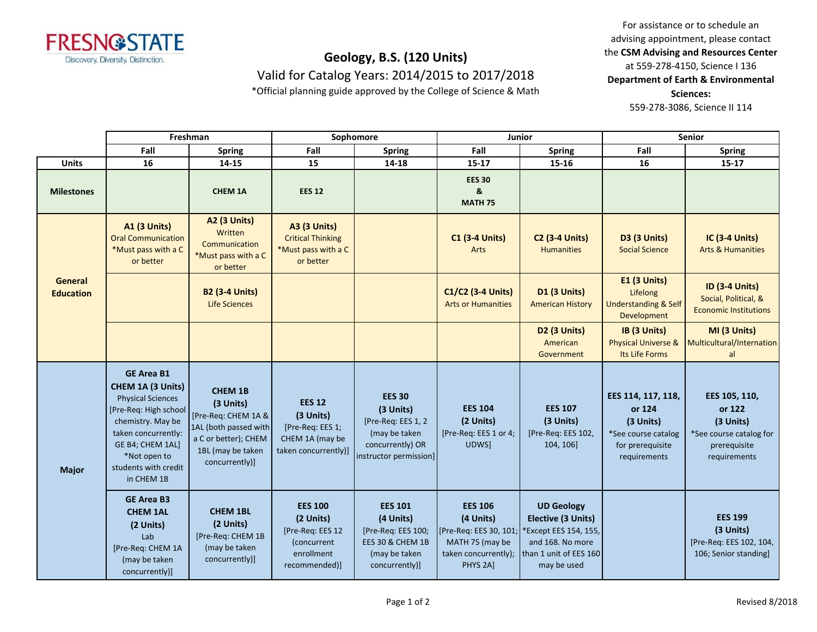

# **Geology, B.S. (120 Units)**

Valid for Catalog Years: 2014/2015 to 2017/2018

\*Official planning guide approved by the College of Science & Math

For assistance or to schedule an advising appointment, please contact the **CSM Advising and Resources Center** at 559-278-4150, Science I 136 **Department of Earth & Environmental Sciences:**  559-278-3086, Science II 114

|                             | Freshman                                                                                                                                                                                                          |                                                                                                                                            | Sophomore                                                                                     |                                                                                                                 | Junior                                                                                                                  |                                                                                                                               | Senior                                                                                               |                                                                                                 |
|-----------------------------|-------------------------------------------------------------------------------------------------------------------------------------------------------------------------------------------------------------------|--------------------------------------------------------------------------------------------------------------------------------------------|-----------------------------------------------------------------------------------------------|-----------------------------------------------------------------------------------------------------------------|-------------------------------------------------------------------------------------------------------------------------|-------------------------------------------------------------------------------------------------------------------------------|------------------------------------------------------------------------------------------------------|-------------------------------------------------------------------------------------------------|
|                             | Fall                                                                                                                                                                                                              | <b>Spring</b>                                                                                                                              | Fall                                                                                          | <b>Spring</b>                                                                                                   | Fall                                                                                                                    | <b>Spring</b>                                                                                                                 | Fall                                                                                                 | <b>Spring</b>                                                                                   |
| Units                       | 16                                                                                                                                                                                                                | 14-15                                                                                                                                      | 15                                                                                            | 14-18                                                                                                           | $15 - 17$                                                                                                               | 15-16                                                                                                                         | 16                                                                                                   | $15 - 17$                                                                                       |
| <b>Milestones</b>           |                                                                                                                                                                                                                   | <b>CHEM 1A</b>                                                                                                                             | <b>EES 12</b>                                                                                 |                                                                                                                 | <b>EES 30</b><br>&<br><b>MATH 75</b>                                                                                    |                                                                                                                               |                                                                                                      |                                                                                                 |
| General<br><b>Education</b> | <b>A1 (3 Units)</b><br><b>Oral Communication</b><br>*Must pass with a C<br>or better                                                                                                                              | <b>A2 (3 Units)</b><br>Written<br>Communication<br>*Must pass with a C<br>or better                                                        | <b>A3 (3 Units)</b><br><b>Critical Thinking</b><br>*Must pass with a C<br>or better           |                                                                                                                 | <b>C1 (3-4 Units)</b><br>Arts                                                                                           | <b>C2 (3-4 Units)</b><br><b>Humanities</b>                                                                                    | <b>D3 (3 Units)</b><br><b>Social Science</b>                                                         | <b>IC (3-4 Units)</b><br><b>Arts &amp; Humanities</b>                                           |
|                             |                                                                                                                                                                                                                   | <b>B2 (3-4 Units)</b><br>Life Sciences                                                                                                     |                                                                                               |                                                                                                                 | C1/C2 (3-4 Units)<br><b>Arts or Humanities</b>                                                                          | <b>D1 (3 Units)</b><br><b>American History</b>                                                                                | <b>E1 (3 Units)</b><br>Lifelong<br><b>Understanding &amp; Self</b><br>Development                    | <b>ID (3-4 Units)</b><br>Social, Political, &<br><b>Economic Institutions</b>                   |
|                             |                                                                                                                                                                                                                   |                                                                                                                                            |                                                                                               |                                                                                                                 |                                                                                                                         | <b>D2 (3 Units)</b><br>American<br>Government                                                                                 | IB (3 Units)<br>Physical Universe &<br>Its Life Forms                                                | MI (3 Units)<br>Multicultural/Internation<br>al                                                 |
| <b>Major</b>                | <b>GE Area B1</b><br>CHEM 1A (3 Units)<br><b>Physical Sciences</b><br>[Pre-Req: High school<br>chemistry. May be<br>taken concurrently:<br>GE B4; CHEM 1AL]<br>*Not open to<br>students with credit<br>in CHEM 1B | <b>CHEM 1B</b><br>(3 Units)<br>[Pre-Req: CHEM 1A &<br>1AL (both passed with<br>a C or better); CHEM<br>1BL (may be taken<br>concurrently)] | <b>EES 12</b><br>(3 Units)<br>[Pre-Req: EES 1;<br>CHEM 1A (may be<br>taken concurrently)]     | <b>EES 30</b><br>(3 Units)<br>[Pre-Req: EES 1, 2<br>(may be taken<br>concurrently) OR<br>instructor permission] | <b>EES 104</b><br>(2 Units)<br>[Pre-Req: EES 1 or 4;<br>UDWS]                                                           | <b>EES 107</b><br>(3 Units)<br>[Pre-Req: EES 102,<br>104, 106]                                                                | EES 114, 117, 118,<br>or 124<br>(3 Units)<br>*See course catalog<br>for prerequisite<br>requirements | EES 105, 110,<br>or 122<br>(3 Units)<br>*See course catalog for<br>prerequisite<br>requirements |
|                             | <b>GE Area B3</b><br><b>CHEM 1AL</b><br>(2 Units)<br>Lab<br>[Pre-Req: CHEM 1A<br>(may be taken<br>concurrently)]                                                                                                  | <b>CHEM 1BL</b><br>(2 Units)<br>[Pre-Req: CHEM 1B<br>(may be taken<br>concurrently)]                                                       | <b>EES 100</b><br>(2 Units)<br>[Pre-Req: EES 12<br>(concurrent<br>enrollment<br>recommended)] | <b>EES 101</b><br>(4 Units)<br>[Pre-Req: EES 100;<br>EES 30 & CHEM 1B<br>(may be taken<br>concurrently)]        | <b>EES 106</b><br>(4 Units)<br>[Pre-Req: EES 30, 101;<br>MATH 75 (may be<br>taken concurrently);<br>PHYS <sub>2Al</sub> | <b>UD Geology</b><br>Elective (3 Units)<br>*Except EES 154, 155,<br>and 168. No more<br>than 1 unit of EES 160<br>may be used |                                                                                                      | <b>EES 199</b><br>(3 Units)<br>[Pre-Req: EES 102, 104,<br>106; Senior standing]                 |